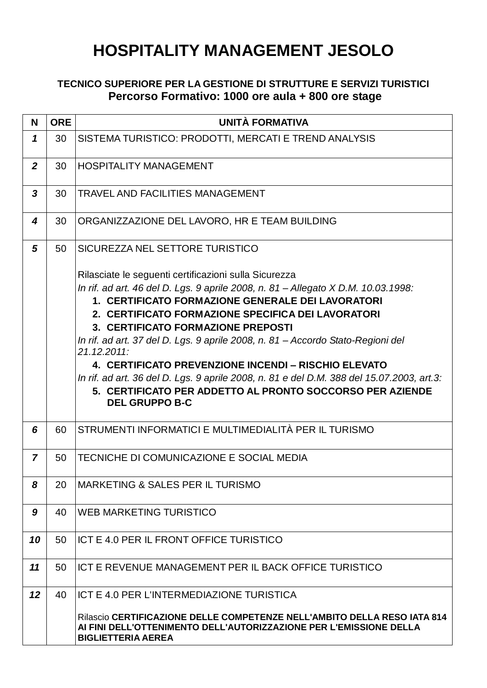## **HOSPITALITY MANAGEMENT JESOLO**

## **TECNICO SUPERIORE PER LA GESTIONE DI STRUTTURE E SERVIZI TURISTICI Percorso Formativo: 1000 ore aula + 800 ore stage**

| N              | <b>ORE</b> | <b>UNITÀ FORMATIVA</b>                                                                                                                                                      |
|----------------|------------|-----------------------------------------------------------------------------------------------------------------------------------------------------------------------------|
| 1              | 30         | SISTEMA TURISTICO: PRODOTTI, MERCATI E TREND ANALYSIS                                                                                                                       |
| $\overline{2}$ | 30         | <b>HOSPITALITY MANAGEMENT</b>                                                                                                                                               |
| $\mathbf{3}$   | 30         | <b>TRAVEL AND FACILITIES MANAGEMENT</b>                                                                                                                                     |
| 4              | 30         | ORGANIZZAZIONE DEL LAVORO, HR E TEAM BUILDING                                                                                                                               |
| 5              | 50         | SICUREZZA NEL SETTORE TURISTICO                                                                                                                                             |
|                |            | Rilasciate le seguenti certificazioni sulla Sicurezza                                                                                                                       |
|                |            | In rif. ad art. 46 del D. Lgs. 9 aprile 2008, n. 81 - Allegato X D.M. 10.03.1998:                                                                                           |
|                |            | 1. CERTIFICATO FORMAZIONE GENERALE DEI LAVORATORI                                                                                                                           |
|                |            | 2. CERTIFICATO FORMAZIONE SPECIFICA DEI LAVORATORI                                                                                                                          |
|                |            | 3. CERTIFICATO FORMAZIONE PREPOSTI                                                                                                                                          |
|                |            | In rif. ad art. 37 del D. Lgs. 9 aprile 2008, n. 81 – Accordo Stato-Regioni del<br>21.12.2011:                                                                              |
|                |            | 4. CERTIFICATO PREVENZIONE INCENDI - RISCHIO ELEVATO                                                                                                                        |
|                |            | In rif. ad art. 36 del D. Lgs. 9 aprile 2008, n. 81 e del D.M. 388 del 15.07.2003, art.3:                                                                                   |
|                |            | 5. CERTIFICATO PER ADDETTO AL PRONTO SOCCORSO PER AZIENDE<br><b>DEL GRUPPO B-C</b>                                                                                          |
| 6              | 60         | STRUMENTI INFORMATICI E MULTIMEDIALITÀ PER IL TURISMO                                                                                                                       |
| $\overline{7}$ | 50         | TECNICHE DI COMUNICAZIONE E SOCIAL MEDIA                                                                                                                                    |
| 8              | 20         | MARKETING & SALES PER IL TURISMO                                                                                                                                            |
| 9              | 40         | WEB MARKETING TURISTICO                                                                                                                                                     |
| 10             | 50         | ICT E 4.0 PER IL FRONT OFFICE TURISTICO                                                                                                                                     |
| 11             | 50         | ICT E REVENUE MANAGEMENT PER IL BACK OFFICE TURISTICO                                                                                                                       |
| 12             | 40         | ICT E 4.0 PER L'INTERMEDIAZIONE TURISTICA                                                                                                                                   |
|                |            | Rilascio CERTIFICAZIONE DELLE COMPETENZE NELL'AMBITO DELLA RESO IATA 814<br>AI FINI DELL'OTTENIMENTO DELL'AUTORIZZAZIONE PER L'EMISSIONE DELLA<br><b>BIGLIETTERIA AEREA</b> |